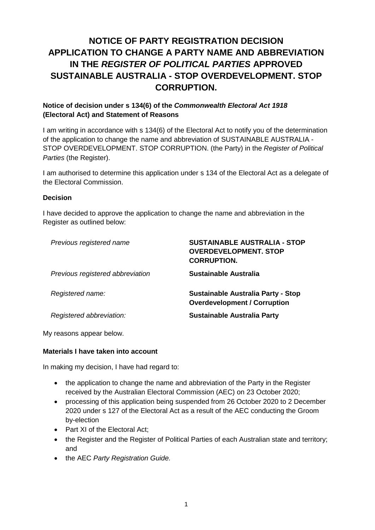# **NOTICE OF PARTY REGISTRATION DECISION APPLICATION TO CHANGE A PARTY NAME AND ABBREVIATION IN THE** *REGISTER OF POLITICAL PARTIES* **APPROVED SUSTAINABLE AUSTRALIA - STOP OVERDEVELOPMENT. STOP CORRUPTION.**

# **Notice of decision under s 134(6) of the** *Commonwealth Electoral Act 1918* **(Electoral Act) and Statement of Reasons**

I am writing in accordance with s 134(6) of the Electoral Act to notify you of the determination of the application to change the name and abbreviation of SUSTAINABLE AUSTRALIA - STOP OVERDEVELOPMENT. STOP CORRUPTION. (the Party) in the *Register of Political Parties* (the Register).

I am authorised to determine this application under s 134 of the Electoral Act as a delegate of the Electoral Commission.

### **Decision**

I have decided to approve the application to change the name and abbreviation in the Register as outlined below:

| Previous registered name         | <b>SUSTAINABLE AUSTRALIA - STOP</b><br><b>OVERDEVELOPMENT, STOP</b><br><b>CORRUPTION.</b> |
|----------------------------------|-------------------------------------------------------------------------------------------|
| Previous registered abbreviation | Sustainable Australia                                                                     |
| Registered name:                 | <b>Sustainable Australia Party - Stop</b><br><b>Overdevelopment / Corruption</b>          |
| Registered abbreviation:         | <b>Sustainable Australia Party</b>                                                        |

My reasons appear below.

### **Materials I have taken into account**

In making my decision, I have had regard to:

- the application to change the name and abbreviation of the Party in the Register received by the Australian Electoral Commission (AEC) on 23 October 2020;
- processing of this application being suspended from 26 October 2020 to 2 December 2020 under s 127 of the Electoral Act as a result of the AEC conducting the Groom by-election
- Part XI of the Electoral Act;
- the Register and the Register of Political Parties of each Australian state and territory; and
- the AEC *Party Registration Guide.*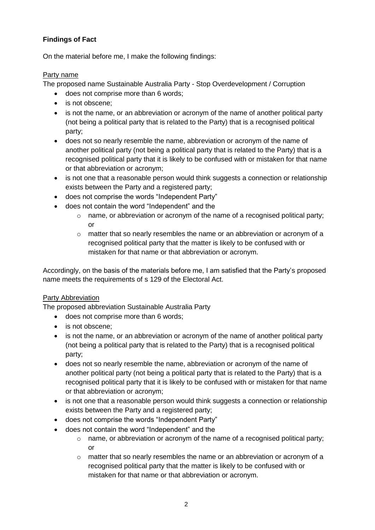# **Findings of Fact**

On the material before me, I make the following findings:

# Party name

The proposed name Sustainable Australia Party - Stop Overdevelopment / Corruption

- does not comprise more than 6 words;
- is not obscene:
- is not the name, or an abbreviation or acronym of the name of another political party (not being a political party that is related to the Party) that is a recognised political party;
- does not so nearly resemble the name, abbreviation or acronym of the name of another political party (not being a political party that is related to the Party) that is a recognised political party that it is likely to be confused with or mistaken for that name or that abbreviation or acronym;
- is not one that a reasonable person would think suggests a connection or relationship exists between the Party and a registered party;
- does not comprise the words "Independent Party"
- does not contain the word "Independent" and the
	- $\circ$  name, or abbreviation or acronym of the name of a recognised political party; or
	- $\circ$  matter that so nearly resembles the name or an abbreviation or acronym of a recognised political party that the matter is likely to be confused with or mistaken for that name or that abbreviation or acronym.

Accordingly, on the basis of the materials before me, I am satisfied that the Party's proposed name meets the requirements of s 129 of the Electoral Act.

# Party Abbreviation

The proposed abbreviation Sustainable Australia Party

- does not comprise more than 6 words;
- is not obscene;
- is not the name, or an abbreviation or acronym of the name of another political party (not being a political party that is related to the Party) that is a recognised political party;
- does not so nearly resemble the name, abbreviation or acronym of the name of another political party (not being a political party that is related to the Party) that is a recognised political party that it is likely to be confused with or mistaken for that name or that abbreviation or acronym;
- is not one that a reasonable person would think suggests a connection or relationship exists between the Party and a registered party;
- does not comprise the words "Independent Party"
	- does not contain the word "Independent" and the
		- $\circ$  name, or abbreviation or acronym of the name of a recognised political party; or
		- $\circ$  matter that so nearly resembles the name or an abbreviation or acronym of a recognised political party that the matter is likely to be confused with or mistaken for that name or that abbreviation or acronym.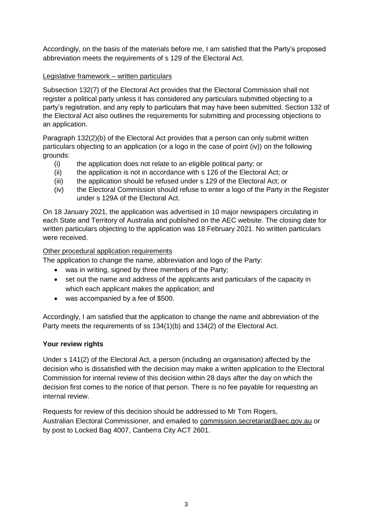Accordingly, on the basis of the materials before me, I am satisfied that the Party's proposed abbreviation meets the requirements of s 129 of the Electoral Act.

## Legislative framework – written particulars

Subsection 132(7) of the Electoral Act provides that the Electoral Commission shall not register a political party unless it has considered any particulars submitted objecting to a party's registration, and any reply to particulars that may have been submitted. Section 132 of the Electoral Act also outlines the requirements for submitting and processing objections to an application.

Paragraph 132(2)(b) of the Electoral Act provides that a person can only submit written particulars objecting to an application (or a logo in the case of point (iv)) on the following grounds:

- (i) the application does not relate to an eligible political party; or
- (ii) the application is not in accordance with s 126 of the Electoral Act; or
- (iii) the application should be refused under s 129 of the Electoral Act; or
- (iv) the Electoral Commission should refuse to enter a logo of the Party in the Register under s 129A of the Electoral Act.

On 18 January 2021, the application was advertised in 10 major newspapers circulating in each State and Territory of Australia and published on the AEC website. The closing date for written particulars objecting to the application was 18 February 2021. No written particulars were received.

## Other procedural application requirements

The application to change the name, abbreviation and logo of the Party:

- was in writing, signed by three members of the Party;
- set out the name and address of the applicants and particulars of the capacity in which each applicant makes the application; and
- was accompanied by a fee of \$500.

Accordingly, I am satisfied that the application to change the name and abbreviation of the Party meets the requirements of ss 134(1)(b) and 134(2) of the Electoral Act.

# **Your review rights**

Under s 141(2) of the Electoral Act, a person (including an organisation) affected by the decision who is dissatisfied with the decision may make a written application to the Electoral Commission for internal review of this decision within 28 days after the day on which the decision first comes to the notice of that person. There is no fee payable for requesting an internal review.

Requests for review of this decision should be addressed to Mr Tom Rogers. Australian Electoral Commissioner, and emailed to commission.secretariat@aec.gov.au or by post to Locked Bag 4007, Canberra City ACT 2601.